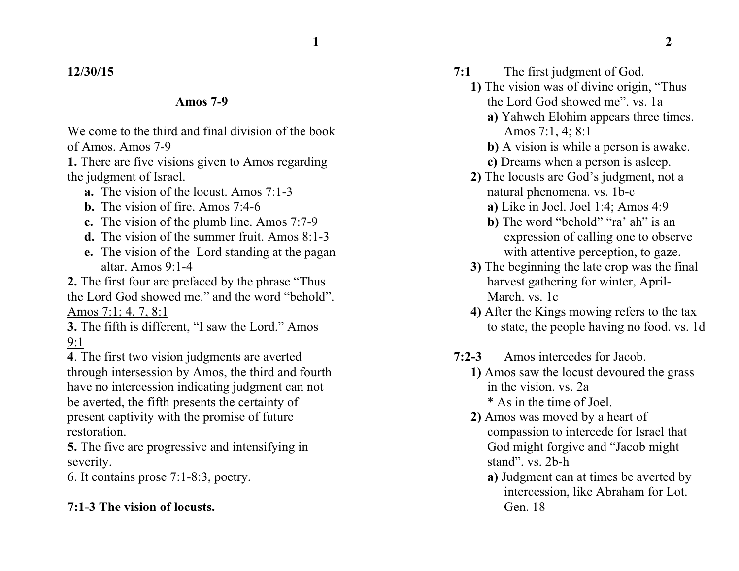### **12/30/15**

#### **Amos 7-9**

We come to the third and final division of the book of Amos. Amos 7-9

**1.** There are five visions given to Amos regarding the judgment of Israel.

- **a.** The vision of the locust. Amos 7:1-3
- **b.** The vision of fire. Amos 7:4-6
- **c.** The vision of the plumb line. Amos 7:7-9
- **d.** The vision of the summer fruit. Amos 8:1-3
- **e.** The vision of the Lord standing at the pagan altar. Amos 9:1-4

**2.** The first four are prefaced by the phrase "Thus the Lord God showed me." and the word "behold". Amos 7:1; 4, 7, 8:1

**3.** The fifth is different, "I saw the Lord." Amos 9:1

**4**. The first two vision judgments are averted through intersession by Amos, the third and fourth have no intercession indicating judgment can not be averted, the fifth presents the certainty of present captivity with the promise of future restoration.

**5.** The five are progressive and intensifying in severity.

6. It contains prose 7:1-8:3, poetry.

### **7:1-3 The vision of locusts.**

- **7:1** The first judgment of God.
	- **1)** The vision was of divine origin, "Thus the Lord God showed me". vs. 1a
		- **a)** Yahweh Elohim appears three times. Amos 7:1, 4; 8:1

**b)** A vision is while a person is awake.

- **c)** Dreams when a person is asleep.
- **2)** The locusts are God's judgment, not a natural phenomena. vs. 1b-c
	- **a)** Like in Joel. Joel 1:4; Amos 4:9
	- **b**) The word "behold" "ra' ah" is an expression of calling one to observe with attentive perception, to gaze.
- **3)** The beginning the late crop was the final harvest gathering for winter, April-March. vs. 1c
- **4)** After the Kings mowing refers to the tax to state, the people having no food. vs. 1d
- **7:2-3** Amos intercedes for Jacob.
	- **1)** Amos saw the locust devoured the grass in the vision. vs. 2a \* As in the time of Joel.
	- **2)** Amos was moved by a heart of compassion to intercede for Israel that God might forgive and "Jacob might stand". vs. 2b-h
		- **a)** Judgment can at times be averted by intercession, like Abraham for Lot. Gen. 18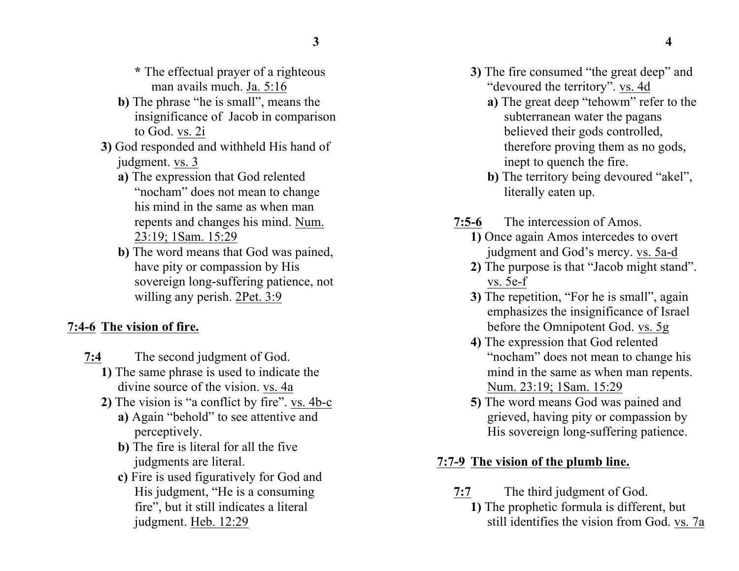- **\*** The effectual prayer of a righteous man avails much. Ja. 5:16
- **b)** The phrase "he is small", means the insignificance of Jacob in comparison to God. vs. 2i
- **3)** God responded and withheld His hand of judgment. vs. 3
	- **a)** The expression that God relented "nocham" does not mean to change his mind in the same as when man repents and changes his mind. Num. 23:19; 1Sam. 15:29
	- **b)** The word means that God was pained, have pity or compassion by His sovereign long-suffering patience, not willing any perish. 2Pet. 3:9

### **7:4-6 The vision of fire.**

- **7:4** The second judgment of God.
	- **1)** The same phrase is used to indicate the divine source of the vision. vs. 4a
	- **2)** The vision is "a conflict by fire". vs. 4b-c
		- **a)** Again "behold" to see attentive and perceptively.
		- **b)** The fire is literal for all the five judgments are literal.
		- **c)** Fire is used figuratively for God and His judgment, "He is a consuming fire", but it still indicates a literal judgment. Heb. 12:29
- **3)** The fire consumed "the great deep" and "devoured the territory". vs. 4d
	- **a)** The great deep "tehowm" refer to the subterranean water the pagans believed their gods controlled, therefore proving them as no gods, inept to quench the fire.
	- **b)** The territory being devoured "akel", literally eaten up.
- **7:5-6** The intercession of Amos.
	- **1)** Once again Amos intercedes to overt judgment and God's mercy. vs. 5a-d
	- **2)** The purpose is that "Jacob might stand". vs. 5e-f
	- **3)** The repetition, "For he is small", again emphasizes the insignificance of Israel before the Omnipotent God. vs. 5g
	- **4)** The expression that God relented "nocham" does not mean to change his mind in the same as when man repents. Num. 23:19; 1Sam. 15:29
	- **5)** The word means God was pained and grieved, having pity or compassion by His sovereign long-suffering patience.

# **7:7-9 The vision of the plumb line.**

- **7:7** The third judgment of God.
	- **1)** The prophetic formula is different, but still identifies the vision from God. vs. 7a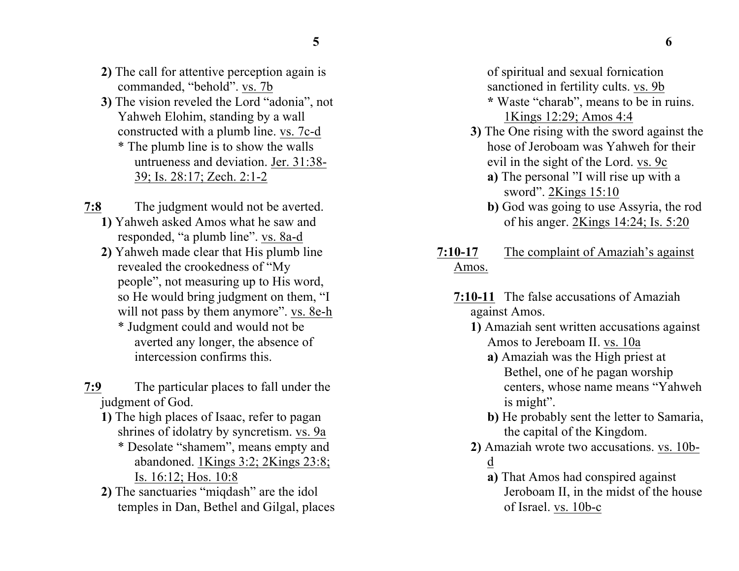- **2)** The call for attentive perception again is commanded, "behold". vs. 7b
- **3)** The vision reveled the Lord "adonia", not Yahweh Elohim, standing by a wall constructed with a plumb line. vs. 7c-d \* The plumb line is to show the walls untrueness and deviation. Jer. 31:38- 39; Is. 28:17; Zech. 2:1-2
- **7:8** The judgment would not be averted. **1)** Yahweh asked Amos what he saw and responded, "a plumb line". vs. 8a-d
	- **2)** Yahweh made clear that His plumb line revealed the crookedness of "My people", not measuring up to His word, so He would bring judgment on them, "I will not pass by them anymore". vs. 8e-h \* Judgment could and would not be
		- averted any longer, the absence of intercession confirms this.
- **7:9** The particular places to fall under the judgment of God.
	- **1)** The high places of Isaac, refer to pagan shrines of idolatry by syncretism. vs. 9a
		- \* Desolate "shamem", means empty and abandoned. 1Kings 3:2; 2Kings 23:8; Is. 16:12; Hos. 10:8
	- **2)** The sanctuaries "miqdash" are the idol temples in Dan, Bethel and Gilgal, places

of spiritual and sexual fornication sanctioned in fertility cults. vs. 9b **\*** Waste "charab", means to be in ruins.

1Kings 12:29; Amos 4:4

- **3)** The One rising with the sword against the hose of Jeroboam was Yahweh for their evil in the sight of the Lord. vs. 9c
	- **a)** The personal "I will rise up with a sword". 2Kings 15:10
	- **b)** God was going to use Assyria, the rod of his anger. 2Kings 14:24; Is. 5:20
- **7:10-17** The complaint of Amaziah's against Amos.
	- **7:10-11** The false accusations of Amaziah against Amos.
		- **1)** Amaziah sent written accusations against Amos to Jereboam II. vs. 10a
			- **a)** Amaziah was the High priest at Bethel, one of he pagan worship centers, whose name means "Yahweh is might".
			- **b)** He probably sent the letter to Samaria, the capital of the Kingdom.
		- **2)** Amaziah wrote two accusations. vs. 10bd
			- **a)** That Amos had conspired against Jeroboam II, in the midst of the house of Israel. vs. 10b-c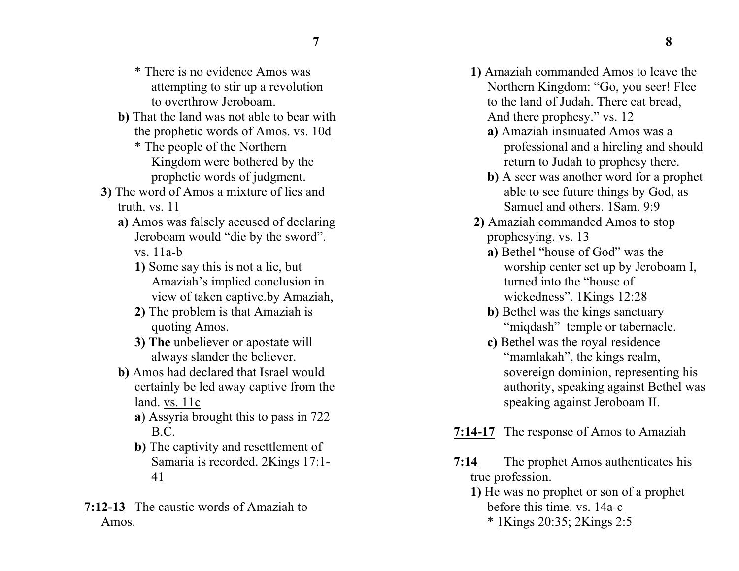- \* There is no evidence Amos was attempting to stir up a revolution to overthrow Jeroboam.
- **b)** That the land was not able to bear with the prophetic words of Amos. vs. 10d
	- \* The people of the Northern Kingdom were bothered by the prophetic words of judgment.
- **3)** The word of Amos a mixture of lies and truth. vs. 11
	- **a)** Amos was falsely accused of declaring Jeroboam would "die by the sword". vs. 11a-b
		- **1)** Some say this is not a lie, but Amaziah's implied conclusion in view of taken captive.by Amaziah,
		- **2)** The problem is that Amaziah is quoting Amos.
		- **3) The** unbeliever or apostate will always slander the believer.
	- **b)** Amos had declared that Israel would certainly be led away captive from the land. vs. 11c
		- **a**) Assyria brought this to pass in 722 B.C.
		- **b)** The captivity and resettlement of Samaria is recorded. 2Kings 17:1- 41
- **7:12-13** The caustic words of Amaziah to Amos.
- **1)** Amaziah commanded Amos to leave the Northern Kingdom: "Go, you seer! Flee to the land of Judah. There eat bread, And there prophesy." vs. 12
	- **a)** Amaziah insinuated Amos was a professional and a hireling and should return to Judah to prophesy there.
	- **b)** A seer was another word for a prophet able to see future things by God, as Samuel and others. 1Sam. 9:9
- **2)** Amaziah commanded Amos to stop prophesying. vs. 13
	- **a)** Bethel "house of God" was the worship center set up by Jeroboam I, turned into the "house of wickedness". 1Kings 12:28
	- **b)** Bethel was the kings sanctuary "migdash" temple or tabernacle.
	- **c)** Bethel was the royal residence "mamlakah", the kings realm, sovereign dominion, representing his authority, speaking against Bethel was speaking against Jeroboam II.
- **7:14-17** The response of Amos to Amaziah
- **7:14** The prophet Amos authenticates his true profession.
	- **1)** He was no prophet or son of a prophet before this time. vs. 14a-c \* 1Kings 20:35; 2Kings 2:5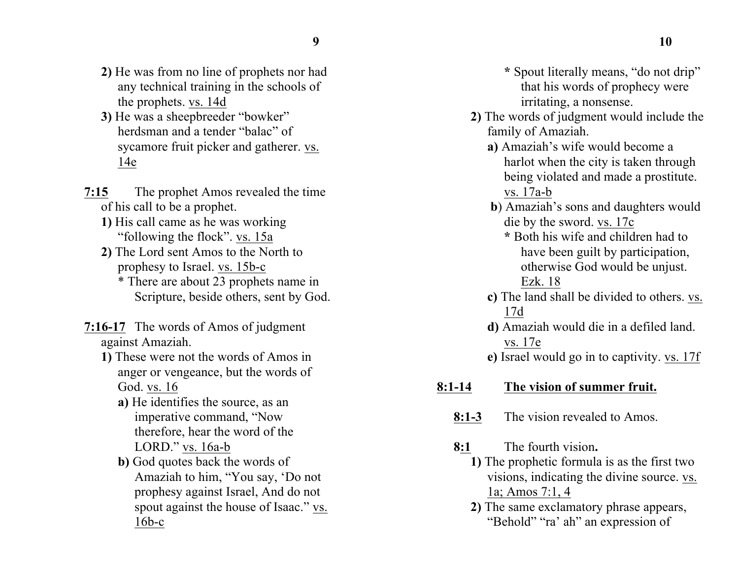- **2)** He was from no line of prophets nor had any technical training in the schools of the prophets. vs. 14d
- **3)** He was a sheepbreeder "bowker" herdsman and a tender "balac" of sycamore fruit picker and gatherer. vs. 14e
- **7:15** The prophet Amos revealed the time of his call to be a prophet.
	- **1)** His call came as he was working "following the flock". vs. 15a
	- **2)** The Lord sent Amos to the North to prophesy to Israel. vs. 15b-c \* There are about 23 prophets name in
		- Scripture, beside others, sent by God.
- **7:16-17** The words of Amos of judgment against Amaziah.
	- **1)** These were not the words of Amos in anger or vengeance, but the words of God. vs. 16
		- **a)** He identifies the source, as an imperative command, "Now therefore, hear the word of the LORD." vs. 16a-b
		- **b**) God quotes back the words of Amaziah to him, "You say, 'Do not prophesy against Israel, And do not spout against the house of Isaac." vs. 16b-c
- **\*** Spout literally means, "do not drip" that his words of prophecy were irritating, a nonsense.
- **2)** The words of judgment would include the family of Amaziah.
	- **a)** Amaziah's wife would become a harlot when the city is taken through being violated and made a prostitute. vs. 17a-b
	- **b**) Amaziah's sons and daughters would die by the sword. vs. 17c
		- **\*** Both his wife and children had to have been guilt by participation, otherwise God would be unjust. Ezk. 18
	- **c)** The land shall be divided to others. vs. 17d
	- **d)** Amaziah would die in a defiled land. vs. 17e
	- **e)** Israel would go in to captivity. vs. 17f

## **8:1-14 The vision of summer fruit.**

- **8:1-3** The vision revealed to Amos.
- **8:1** The fourth vision**.**
	- **1)** The prophetic formula is as the first two visions, indicating the divine source. vs. 1a; Amos 7:1, 4
	- **2)** The same exclamatory phrase appears, "Behold" "ra' ah" an expression of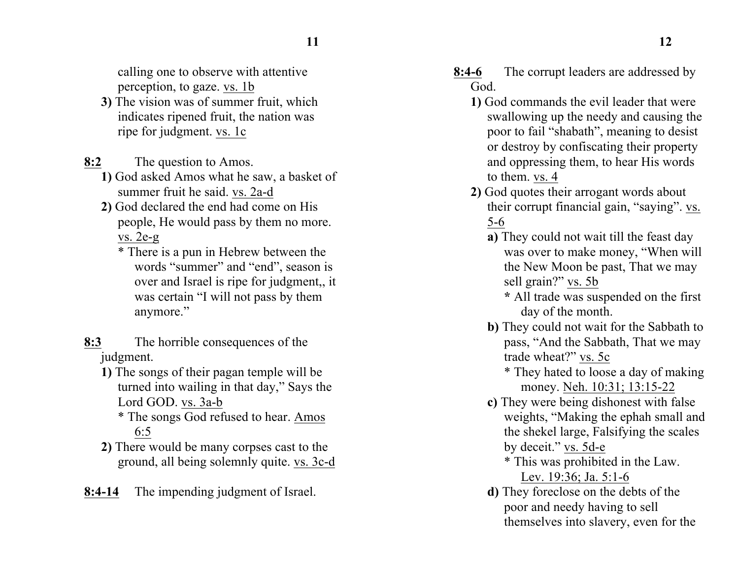calling one to observe with attentive perception, to gaze. vs. 1b

- **3)** The vision was of summer fruit, which indicates ripened fruit, the nation was ripe for judgment. vs. 1c
- **8:2** The question to Amos.
	- **1)** God asked Amos what he saw, a basket of summer fruit he said. vs. 2a-d
	- **2)** God declared the end had come on His people, He would pass by them no more. vs. 2e-g
		- \* There is a pun in Hebrew between the words "summer" and "end", season is over and Israel is ripe for judgment,, it was certain "I will not pass by them anymore."
- **8:3** The horrible consequences of the judgment.
	- **1)** The songs of their pagan temple will be turned into wailing in that day," Says the Lord GOD. vs. 3a-b
		- \* The songs God refused to hear. Amos 6:5
	- **2)** There would be many corpses cast to the ground, all being solemnly quite. vs. 3c-d
- **8:4-14** The impending judgment of Israel.
- **8:4-6** The corrupt leaders are addressed by God.
	- **1)** God commands the evil leader that were swallowing up the needy and causing the poor to fail "shabath", meaning to desist or destroy by confiscating their property and oppressing them, to hear His words to them. vs. 4
	- **2)** God quotes their arrogant words about their corrupt financial gain, "saying". vs. 5-6
		- **a)** They could not wait till the feast day was over to make money, "When will the New Moon be past, That we may sell grain?" vs. 5b
			- **\*** All trade was suspended on the first day of the month.
		- **b)** They could not wait for the Sabbath to pass, "And the Sabbath, That we may trade wheat?" vs. 5c
			- \* They hated to loose a day of making money. Neh. 10:31; 13:15-22
		- **c)** They were being dishonest with false weights, "Making the ephah small and the shekel large, Falsifying the scales by deceit." vs. 5d-e
			- \* This was prohibited in the Law. Lev. 19:36; Ja. 5:1-6
		- **d)** They foreclose on the debts of the poor and needy having to sell themselves into slavery, even for the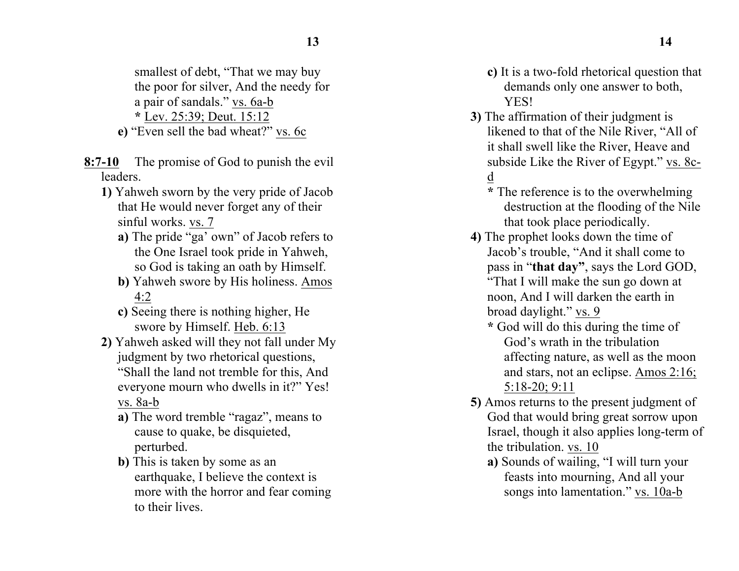smallest of debt, "That we may buy the poor for silver, And the needy for a pair of sandals." vs. 6a-b **\*** Lev. 25:39; Deut. 15:12

- **e)** "Even sell the bad wheat?" vs. 6c
- **8:7-10** The promise of God to punish the evil leaders.
	- **1)** Yahweh sworn by the very pride of Jacob that He would never forget any of their sinful works. vs. 7
		- **a)** The pride "ga' own" of Jacob refers to the One Israel took pride in Yahweh, so God is taking an oath by Himself.
		- **b)** Yahweh swore by His holiness. Amos 4:2
		- **c)** Seeing there is nothing higher, He swore by Himself. Heb. 6:13
	- **2)** Yahweh asked will they not fall under My judgment by two rhetorical questions, "Shall the land not tremble for this, And everyone mourn who dwells in it?" Yes! vs. 8a-b
		- **a)** The word tremble "ragaz", means to cause to quake, be disquieted, perturbed.
		- **b)** This is taken by some as an earthquake, I believe the context is more with the horror and fear coming to their lives.
- **c)** It is a two-fold rhetorical question that demands only one answer to both, **YES!**
- **3)** The affirmation of their judgment is likened to that of the Nile River, "All of it shall swell like the River, Heave and subside Like the River of Egypt." vs. 8cd
	- **\*** The reference is to the overwhelming destruction at the flooding of the Nile that took place periodically.
- **4)** The prophet looks down the time of Jacob's trouble, "And it shall come to pass in "**that day"**, says the Lord GOD, "That I will make the sun go down at noon, And I will darken the earth in broad daylight." vs. 9
	- **\*** God will do this during the time of God's wrath in the tribulation affecting nature, as well as the moon and stars, not an eclipse. Amos 2:16; 5:18-20; 9:11
- **5)** Amos returns to the present judgment of God that would bring great sorrow upon Israel, though it also applies long-term of the tribulation. vs. 10
	- **a)** Sounds of wailing, "I will turn your feasts into mourning, And all your songs into lamentation." vs. 10a-b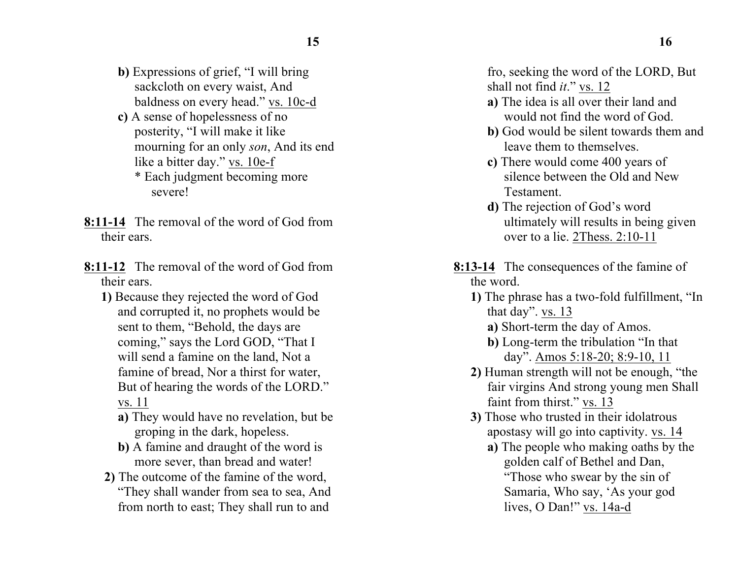- **b)** Expressions of grief, "I will bring sackcloth on every waist, And baldness on every head." vs. 10c-d
- **c)** A sense of hopelessness of no posterity, "I will make it like mourning for an only *son*, And its end like a bitter day." vs. 10e-f \* Each judgment becoming more severe!
- **8:11-14** The removal of the word of God from their ears.
- **8:11-12** The removal of the word of God from their ears.
	- **1)** Because they rejected the word of God and corrupted it, no prophets would be sent to them, "Behold, the days are coming," says the Lord GOD, "That I will send a famine on the land, Not a famine of bread, Nor a thirst for water, But of hearing the words of the LORD." vs. 11
		- **a)** They would have no revelation, but be groping in the dark, hopeless.
		- **b)** A famine and draught of the word is more sever, than bread and water!
	- **2)** The outcome of the famine of the word, "They shall wander from sea to sea, And from north to east; They shall run to and

fro, seeking the word of the LORD, But shall not find *it*." vs. 12

- **a)** The idea is all over their land and would not find the word of God.
- **b)** God would be silent towards them and leave them to themselves.
- **c)** There would come 400 years of silence between the Old and New Testament.
- **d)** The rejection of God's word ultimately will results in being given over to a lie. 2Thess. 2:10-11
- **8:13-14** The consequences of the famine of the word.
	- **1)** The phrase has a two-fold fulfillment, "In that day". vs. 13
		- **a)** Short-term the day of Amos.
		- **b)** Long-term the tribulation "In that day". Amos 5:18-20; 8:9-10, 11
	- **2)** Human strength will not be enough, "the fair virgins And strong young men Shall faint from thirst." vs. 13
	- **3)** Those who trusted in their idolatrous apostasy will go into captivity. vs. 14
		- **a)** The people who making oaths by the golden calf of Bethel and Dan, "Those who swear by the sin of Samaria, Who say, 'As your god lives, O Dan!" vs. 14a-d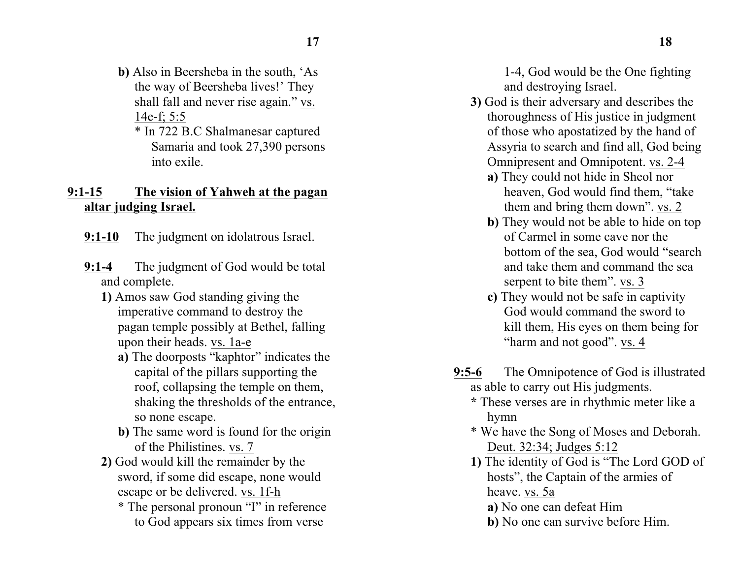- **b)** Also in Beersheba in the south, 'As the way of Beersheba lives!' They shall fall and never rise again." vs. 14e-f; 5:5
	- \* In 722 B.C Shalmanesar captured Samaria and took 27,390 persons into exile.

### **9:1-15 The vision of Yahweh at the pagan altar judging Israel.**

- **9:1-10** The judgment on idolatrous Israel.
- **9:1-4** The judgment of God would be total and complete.
	- **1)** Amos saw God standing giving the imperative command to destroy the pagan temple possibly at Bethel, falling upon their heads. vs. 1a-e
		- **a)** The doorposts "kaphtor" indicates the capital of the pillars supporting the roof, collapsing the temple on them, shaking the thresholds of the entrance, so none escape.
		- **b)** The same word is found for the origin of the Philistines. vs. 7
	- **2)** God would kill the remainder by the sword, if some did escape, none would escape or be delivered. vs. 1f-h
		- \* The personal pronoun "I" in reference to God appears six times from verse

1-4, God would be the One fighting and destroying Israel.

- **3)** God is their adversary and describes the thoroughness of His justice in judgment of those who apostatized by the hand of Assyria to search and find all, God being Omnipresent and Omnipotent. vs. 2-4
	- **a)** They could not hide in Sheol nor heaven, God would find them, "take them and bring them down". vs. 2
	- **b)** They would not be able to hide on top of Carmel in some cave nor the bottom of the sea, God would "search and take them and command the sea serpent to bite them". vs. 3
	- **c)** They would not be safe in captivity God would command the sword to kill them, His eyes on them being for "harm and not good". vs. 4
- **9:5-6** The Omnipotence of God is illustrated as able to carry out His judgments.
	- **\*** These verses are in rhythmic meter like a hymn
	- \* We have the Song of Moses and Deborah. Deut. 32:34; Judges 5:12
	- **1)** The identity of God is "The Lord GOD of hosts", the Captain of the armies of heave. vs. 5a
		- **a)** No one can defeat Him
		- **b)** No one can survive before Him.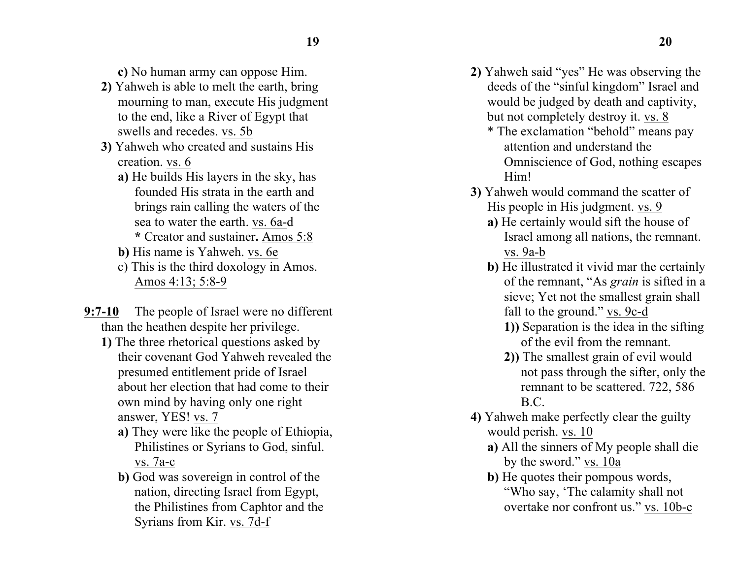**c)** No human army can oppose Him.

- **2)** Yahweh is able to melt the earth, bring mourning to man, execute His judgment to the end, like a River of Egypt that swells and recedes. vs. 5b
- **3)** Yahweh who created and sustains His creation. vs. 6
	- **a)** He builds His layers in the sky, has founded His strata in the earth and brings rain calling the waters of the sea to water the earth. vs. 6a-d **\*** Creator and sustainer**.** Amos 5:8
	- **b)** His name is Yahweh. vs. 6e
	- c) This is the third doxology in Amos. Amos 4:13; 5:8-9
- **9:7-10** The people of Israel were no different than the heathen despite her privilege.
	- **1)** The three rhetorical questions asked by their covenant God Yahweh revealed the presumed entitlement pride of Israel about her election that had come to their own mind by having only one right answer, YES! vs. 7
		- **a)** They were like the people of Ethiopia, Philistines or Syrians to God, sinful. vs. 7a-c
		- **b)** God was sovereign in control of the nation, directing Israel from Egypt, the Philistines from Caphtor and the Syrians from Kir. vs. 7d-f
- **2)** Yahweh said "yes" He was observing the deeds of the "sinful kingdom" Israel and would be judged by death and captivity, but not completely destroy it. vs. 8
	- \* The exclamation "behold" means pay attention and understand the Omniscience of God, nothing escapes Him!
- **3)** Yahweh would command the scatter of His people in His judgment. vs. 9
	- **a)** He certainly would sift the house of Israel among all nations, the remnant. vs. 9a-b
	- **b)** He illustrated it vivid mar the certainly of the remnant, "As *grain* is sifted in a sieve; Yet not the smallest grain shall fall to the ground." vs. 9c-d
		- **1))** Separation is the idea in the sifting of the evil from the remnant.
		- **2))** The smallest grain of evil would not pass through the sifter, only the remnant to be scattered. 722, 586 B.C.
- **4)** Yahweh make perfectly clear the guilty would perish. vs. 10
	- **a)** All the sinners of My people shall die by the sword." vs. 10a
	- **b**) He quotes their pompous words, "Who say, 'The calamity shall not overtake nor confront us." vs. 10b-c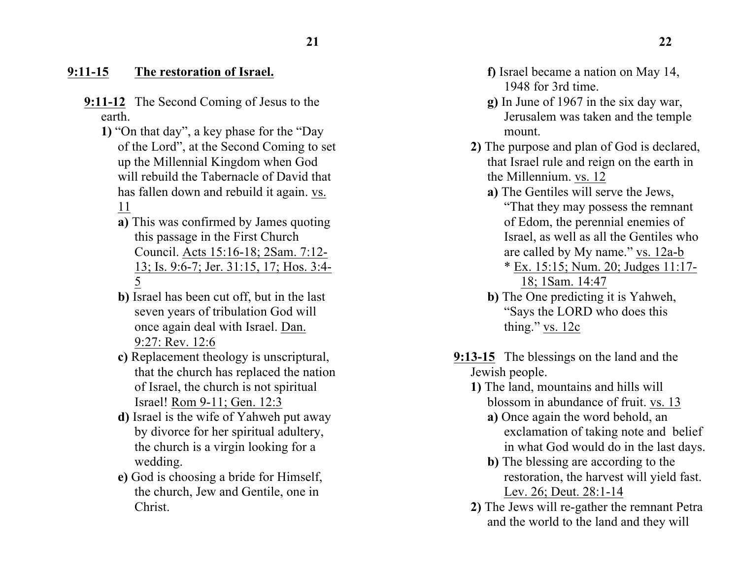### **9:11-15 The restoration of Israel.**

- **9:11-12** The Second Coming of Jesus to the earth.
	- **1)** "On that day", a key phase for the "Day of the Lord", at the Second Coming to set up the Millennial Kingdom when God will rebuild the Tabernacle of David that has fallen down and rebuild it again. vs. 11
		- **a)** This was confirmed by James quoting this passage in the First Church Council. Acts 15:16-18; 2Sam. 7:12- 13; Is. 9:6-7; Jer. 31:15, 17; Hos. 3:4- 5
		- **b)** Israel has been cut off, but in the last seven years of tribulation God will once again deal with Israel. Dan. 9:27: Rev. 12:6
		- **c)** Replacement theology is unscriptural, that the church has replaced the nation of Israel, the church is not spiritual Israel! Rom 9-11; Gen. 12:3
		- **d)** Israel is the wife of Yahweh put away by divorce for her spiritual adultery, the church is a virgin looking for a wedding.
		- **e)** God is choosing a bride for Himself, the church, Jew and Gentile, one in Christ.
- **f)** Israel became a nation on May 14, 1948 for 3rd time.
- **g)** In June of 1967 in the six day war, Jerusalem was taken and the temple mount.
- **2)** The purpose and plan of God is declared, that Israel rule and reign on the earth in the Millennium. vs. 12
	- **a)** The Gentiles will serve the Jews,

"That they may possess the remnant of Edom, the perennial enemies of Israel, as well as all the Gentiles who are called by My name." vs. 12a-b

- \* Ex. 15:15; Num. 20; Judges 11:17- 18; 1Sam. 14:47
- **b)** The One predicting it is Yahweh, "Says the LORD who does this thing." vs. 12c
- **9:13-15** The blessings on the land and the Jewish people.
	- **1)** The land, mountains and hills will blossom in abundance of fruit. vs. 13
		- **a)** Once again the word behold, an exclamation of taking note and belief in what God would do in the last days.
		- **b)** The blessing are according to the restoration, the harvest will yield fast. Lev. 26; Deut. 28:1-14
	- **2)** The Jews will re-gather the remnant Petra and the world to the land and they will